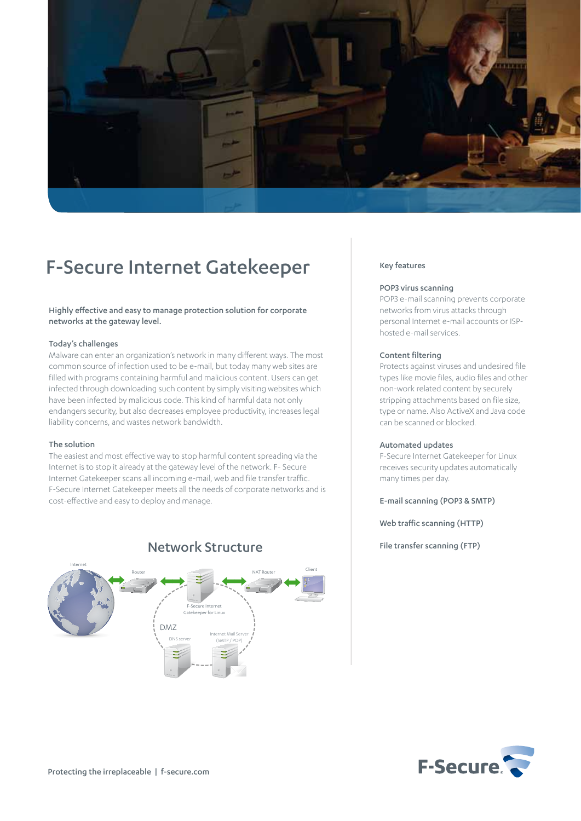

# F-Secure Internet Gatekeeper

Highly effective and easy to manage protection solution for corporate networks at the gateway level.

#### Today's challenges

Malware can enter an organization's network in many different ways. The most common source of infection used to be e-mail, but today many web sites are filled with programs containing harmful and malicious content. Users can get infected through downloading such content by simply visiting websites which have been infected by malicious code. This kind of harmful data not only endangers security, but also decreases employee productivity, increases legal liability concerns, and wastes network bandwidth.

### The solution

The easiest and most effective way to stop harmful content spreading via the Internet is to stop it already at the gateway level of the network. F- Secure Internet Gatekeeper scans all incoming e-mail, web and file transfer traffic. F-Secure Internet Gatekeeper meets all the needs of corporate networks and is cost-effective and easy to deploy and manage.



# Network Structure

#### Key features

#### POP3 virus scanning

POP3 e-mail scanning prevents corporate networks from virus attacks through personal Internet e-mail accounts or ISPhosted e-mail services.

#### Content filtering

Protects against viruses and undesired file types like movie files, audio files and other non-work related content by securely stripping attachments based on file size, type or name. Also ActiveX and Java code can be scanned or blocked.

#### Automated updates

F-Secure Internet Gatekeeper for Linux receives security updates automatically many times per day.

E-mail scanning (POP3 & SMTP)

Web traffic scanning (HTTP)

File transfer scanning (FTP)